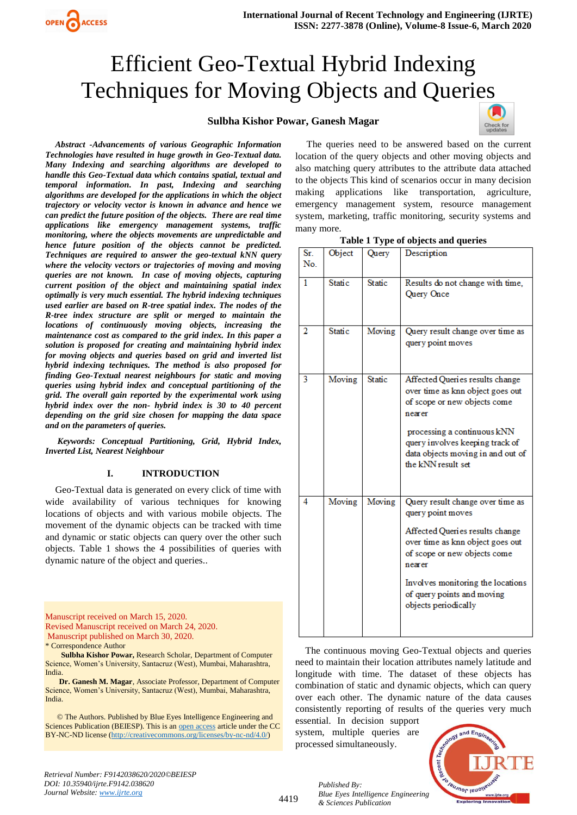### **Sulbha Kishor Powar, Ganesh Magar**



*Abstract -Advancements of various Geographic Information Technologies have resulted in huge growth in Geo-Textual data. Many Indexing and searching algorithms are developed to handle this Geo-Textual data which contains spatial, textual and temporal information. In past, Indexing and searching algorithms are developed for the applications in which the object trajectory or velocity vector is known in advance and hence we can predict the future position of the objects. There are real time applications like emergency management systems, traffic monitoring, where the objects movements are unpredictable and hence future position of the objects cannot be predicted. Techniques are required to answer the geo-textual kNN query where the velocity vectors or trajectories of moving and moving queries are not known. In case of moving objects, capturing current position of the object and maintaining spatial index optimally is very much essential. The hybrid indexing techniques used earlier are based on R-tree spatial index. The nodes of the R-tree index structure are split or merged to maintain the locations of continuously moving objects, increasing the maintenance cost as compared to the grid index. In this paper a solution is proposed for creating and maintaining hybrid index for moving objects and queries based on grid and inverted list hybrid indexing techniques. The method is also proposed for finding Geo-Textual nearest neighbours for static and moving queries using hybrid index and conceptual partitioning of the grid. The overall gain reported by the experimental work using hybrid index over the non- hybrid index is 30 to 40 percent depending on the grid size chosen for mapping the data space and on the parameters of queries.*

*Keywords: Conceptual Partitioning, Grid, Hybrid Index, Inverted List, Nearest Neighbour*

### **I. INTRODUCTION**

Geo-Textual data is generated on every click of time with wide availability of various techniques for knowing locations of objects and with various mobile objects. The movement of the dynamic objects can be tracked with time and dynamic or static objects can query over the other such objects. Table 1 shows the 4 possibilities of queries with dynamic nature of the object and queries..

Manuscript received on March 15, 2020. Revised Manuscript received on March 24, 2020. Manuscript published on March 30, 2020.

OPEN ACCESS

**Sulbha Kishor Powar,** Research Scholar, Department of Computer Science, Women's University, Santacruz (West), Mumbai, Maharashtra, India.

**Dr. Ganesh M. Magar**, Associate Professor, Department of Computer Science, Women's University, Santacruz (West), Mumbai, Maharashtra, India.

 © The Authors. Published by Blue Eyes Intelligence Engineering and Sciences Publication (BEIESP). This is a[n open access](https://www.openaccess.nl/en/open-publications) article under the CC BY-NC-ND license [\(http://creativecommons.org/licenses/by-nc-nd/4.0/\)](http://creativecommons.org/licenses/by-nc-nd/4.0/)

The queries need to be answered based on the current location of the query objects and other moving objects and also matching query attributes to the attribute data attached to the objects This kind of scenarios occur in many decision making applications like transportation, agriculture, emergency management system, resource management system, marketing, traffic monitoring, security systems and many more.

|  |  |  | Table 1 Type of objects and queries |
|--|--|--|-------------------------------------|
|--|--|--|-------------------------------------|

| Sr.<br>No.     | Object        | Query         | Description                                                                                                                                                                                                                                                       |
|----------------|---------------|---------------|-------------------------------------------------------------------------------------------------------------------------------------------------------------------------------------------------------------------------------------------------------------------|
| 1              | <b>Static</b> | <b>Static</b> | Results do not change with time,<br>Query Once                                                                                                                                                                                                                    |
| $\overline{2}$ | <b>Static</b> | Moving        | Query result change over time as<br>query point moves                                                                                                                                                                                                             |
| 3              | Moving        | <b>Static</b> | Affected Queries results change<br>over time as knn object goes out<br>of scope or new objects come<br>nearer<br>processing a continuous kNN<br>query involves keeping track of<br>data objects moving in and out of<br>the kNN result set                        |
| 4              | Moving        | Moving        | Query result change over time as<br>query point moves<br>Affected Queries results change<br>over time as knn object goes out<br>of scope or new objects come<br>nearer<br>Involves monitoring the locations<br>of query points and moving<br>objects periodically |

The continuous moving Geo-Textual objects and queries need to maintain their location attributes namely latitude and longitude with time. The dataset of these objects has combination of static and dynamic objects, which can query over each other. The dynamic nature of the data causes consistently reporting of results of the queries very much

essential. In decision support system, multiple queries are processed simultaneously.



*Retrieval Number: F9142038620/2020©BEIESP DOI: 10.35940/ijrte.F9142.038620 Journal Website: www.ijrte.org*

4419

<sup>\*</sup> Correspondence Author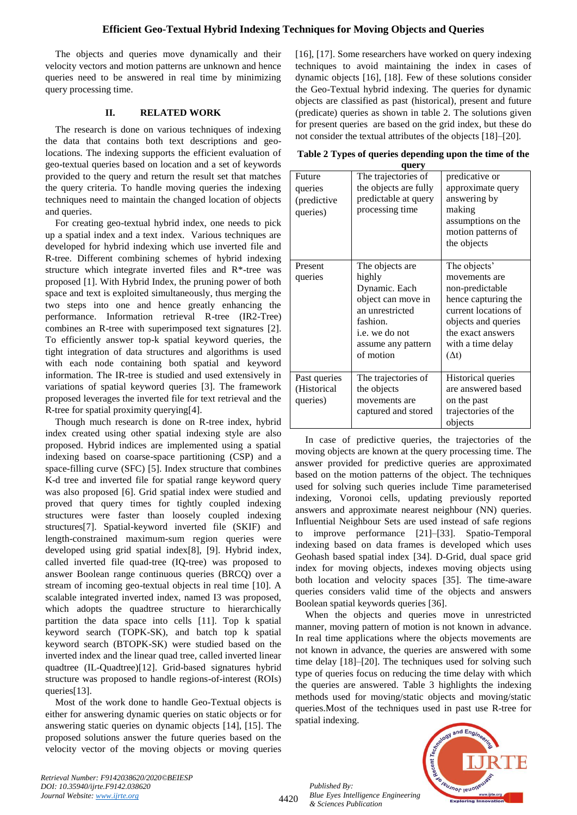The objects and queries move dynamically and their velocity vectors and motion patterns are unknown and hence queries need to be answered in real time by minimizing query processing time.

## **II. RELATED WORK**

The research is done on various techniques of indexing the data that contains both text descriptions and geolocations. The indexing supports the efficient evaluation of geo-textual queries based on location and a set of keywords provided to the query and return the result set that matches the query criteria. To handle moving queries the indexing techniques need to maintain the changed location of objects and queries.

For creating geo-textual hybrid index, one needs to pick up a spatial index and a text index. Various techniques are developed for hybrid indexing which use inverted file and R-tree. Different combining schemes of hybrid indexing structure which integrate inverted files and R\*-tree was proposed [1]. With Hybrid Index, the pruning power of both space and text is exploited simultaneously, thus merging the two steps into one and hence greatly enhancing the performance. Information retrieval R-tree (IR2-Tree) combines an R-tree with superimposed text signatures [2]. To efficiently answer top-k spatial keyword queries, the tight integration of data structures and algorithms is used with each node containing both spatial and keyword information. The IR-tree is studied and used extensively in variations of spatial keyword queries [3]. The framework proposed leverages the inverted file for text retrieval and the R-tree for spatial proximity querying[4].

Though much research is done on R-tree index, hybrid index created using other spatial indexing style are also proposed. Hybrid indices are implemented using a spatial indexing based on coarse-space partitioning (CSP) and a space-filling curve (SFC) [5]. Index structure that combines K-d tree and inverted file for spatial range keyword query was also proposed [6]. Grid spatial index were studied and proved that query times for tightly coupled indexing structures were faster than loosely coupled indexing structures[7]. Spatial-keyword inverted file (SKIF) and length-constrained maximum-sum region queries were developed using grid spatial index[8], [9]. Hybrid index, called inverted file quad-tree (IQ-tree) was proposed to answer Boolean range continuous queries (BRCQ) over a stream of incoming geo-textual objects in real time [10]. A scalable integrated inverted index, named I3 was proposed, which adopts the quadtree structure to hierarchically partition the data space into cells [11]. Top k spatial keyword search (TOPK-SK), and batch top k spatial keyword search (BTOPK-SK) were studied based on the inverted index and the linear quad tree, called inverted linear quadtree (IL-Quadtree)[12]. Grid-based signatures hybrid structure was proposed to handle regions-of-interest (ROIs) queries[13].

Most of the work done to handle Geo-Textual objects is either for answering dynamic queries on static objects or for answering static queries on dynamic objects [14], [15]. The proposed solutions answer the future queries based on the velocity vector of the moving objects or moving queries

[16], [17]. Some researchers have worked on query indexing techniques to avoid maintaining the index in cases of dynamic objects [16], [18]. Few of these solutions consider the Geo-Textual hybrid indexing. The queries for dynamic objects are classified as past (historical), present and future (predicate) queries as shown in table 2. The solutions given for present queries are based on the grid index, but these do not consider the textual attributes of the objects [18]–[20].

| Table 2 Types of queries depending upon the time of the |  |  |
|---------------------------------------------------------|--|--|
|---------------------------------------------------------|--|--|

| query                                        |                                                                                                                                                      |                                                                                                                                                                                  |  |  |
|----------------------------------------------|------------------------------------------------------------------------------------------------------------------------------------------------------|----------------------------------------------------------------------------------------------------------------------------------------------------------------------------------|--|--|
| Future<br>queries<br>(predictive<br>queries) | The trajectories of<br>the objects are fully<br>predictable at query<br>processing time                                                              | predicative or<br>approximate query<br>answering by<br>making<br>assumptions on the<br>motion patterns of<br>the objects                                                         |  |  |
| Present<br>queries                           | The objects are<br>highly<br>Dynamic. Each<br>object can move in<br>an unrestricted<br>fashion.<br>i.e. we do not<br>assume any pattern<br>of motion | The objects'<br>movements are<br>non-predictable<br>hence capturing the<br>current locations of<br>objects and queries<br>the exact answers<br>with a time delay<br>$(\Delta t)$ |  |  |
| Past queries<br>(Historical<br>queries)      | The trajectories of<br>the objects<br>movements are<br>captured and stored                                                                           | Historical queries<br>are answered based<br>on the past<br>trajectories of the<br>objects                                                                                        |  |  |

In case of predictive queries, the trajectories of the moving objects are known at the query processing time. The answer provided for predictive queries are approximated based on the motion patterns of the object. The techniques used for solving such queries include Time parameterised indexing, Voronoi cells, updating previously reported answers and approximate nearest neighbour (NN) queries. Influential Neighbour Sets are used instead of safe regions to improve performance [21]–[33]. Spatio-Temporal indexing based on data frames is developed which uses Geohash based spatial index [34]. D-Grid, dual space grid index for moving objects, indexes moving objects using both location and velocity spaces [35]. The time-aware queries considers valid time of the objects and answers Boolean spatial keywords queries [36].

When the objects and queries move in unrestricted manner, moving pattern of motion is not known in advance. In real time applications where the objects movements are not known in advance, the queries are answered with some time delay [18]–[20]. The techniques used for solving such type of queries focus on reducing the time delay with which the queries are answered. Table 3 highlights the indexing methods used for moving/static objects and moving/static queries.Most of the techniques used in past use R-tree for spatial indexing.

*Retrieval Number: F9142038620/2020©BEIESP DOI: 10.35940/ijrte.F9142.038620 Journal Website: www.ijrte.org*

4420

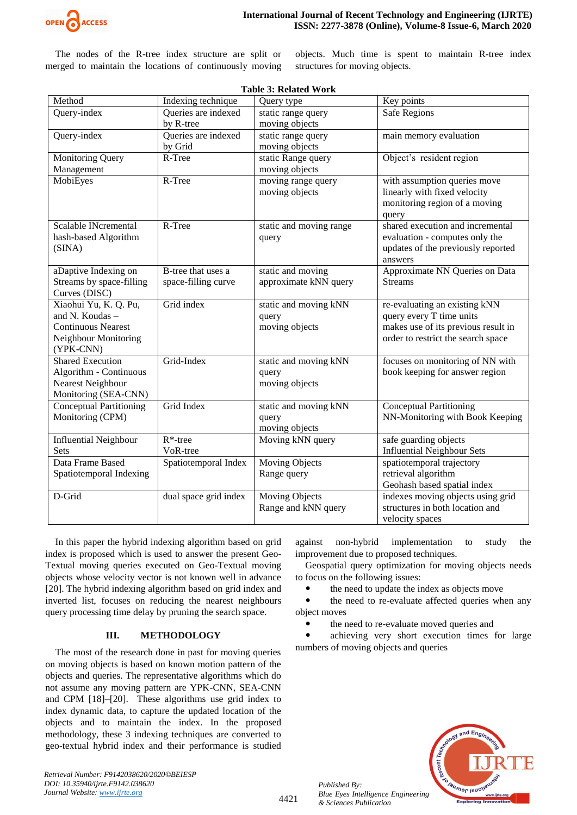

The nodes of the R-tree index structure are split or merged to maintain the locations of continuously moving objects. Much time is spent to maintain R-tree index structures for moving objects.

| Method                                                                                                     | Indexing technique                        | Table 9. Related WOLK<br>Query type              | Key points                                                                                                                             |
|------------------------------------------------------------------------------------------------------------|-------------------------------------------|--------------------------------------------------|----------------------------------------------------------------------------------------------------------------------------------------|
| Query-index                                                                                                | Queries are indexed                       | static range query                               | <b>Safe Regions</b>                                                                                                                    |
|                                                                                                            | by R-tree                                 | moving objects                                   |                                                                                                                                        |
| Query-index                                                                                                | Queries are indexed                       | static range query                               | main memory evaluation                                                                                                                 |
|                                                                                                            | by Grid                                   | moving objects                                   |                                                                                                                                        |
| <b>Monitoring Query</b>                                                                                    | R-Tree                                    | static Range query                               | Object's resident region                                                                                                               |
| Management                                                                                                 |                                           | moving objects                                   |                                                                                                                                        |
| MobiEyes                                                                                                   | R-Tree                                    | moving range query<br>moving objects             | with assumption queries move<br>linearly with fixed velocity<br>monitoring region of a moving<br>query                                 |
| Scalable INcremental<br>hash-based Algorithm<br>(SINA)                                                     | R-Tree                                    | static and moving range<br>query                 | shared execution and incremental<br>evaluation - computes only the<br>updates of the previously reported<br>answers                    |
| aDaptive Indexing on<br>Streams by space-filling<br>Curves (DISC)                                          | B-tree that uses a<br>space-filling curve | static and moving<br>approximate kNN query       | Approximate NN Queries on Data<br><b>Streams</b>                                                                                       |
| Xiaohui Yu, K. Q. Pu,<br>and N. Koudas -<br><b>Continuous Nearest</b><br>Neighbour Monitoring<br>(YPK-CNN) | Grid index                                | static and moving kNN<br>query<br>moving objects | re-evaluating an existing kNN<br>query every T time units<br>makes use of its previous result in<br>order to restrict the search space |
| <b>Shared Execution</b><br>Algorithm - Continuous<br><b>Nearest Neighbour</b><br>Monitoring (SEA-CNN)      | Grid-Index                                | static and moving kNN<br>query<br>moving objects | focuses on monitoring of NN with<br>book keeping for answer region                                                                     |
| <b>Conceptual Partitioning</b><br>Monitoring (CPM)                                                         | Grid Index                                | static and moving kNN<br>query<br>moving objects | <b>Conceptual Partitioning</b><br>NN-Monitoring with Book Keeping                                                                      |
| <b>Influential Neighbour</b><br>Sets                                                                       | $R^*$ -tree<br>VoR-tree                   | Moving kNN query                                 | safe guarding objects<br><b>Influential Neighbour Sets</b>                                                                             |
| Data Frame Based<br>Spatiotemporal Indexing                                                                | Spatiotemporal Index                      | Moving Objects<br>Range query                    | spatiotemporal trajectory<br>retrieval algorithm<br>Geohash based spatial index                                                        |
| D-Grid                                                                                                     | dual space grid index                     | Moving Objects<br>Range and kNN query            | indexes moving objects using grid<br>structures in both location and<br>velocity spaces                                                |

**Table 3: Related Work**

In this paper the hybrid indexing algorithm based on grid index is proposed which is used to answer the present Geo-Textual moving queries executed on Geo-Textual moving objects whose velocity vector is not known well in advance [20]. The hybrid indexing algorithm based on grid index and inverted list, focuses on reducing the nearest neighbours query processing time delay by pruning the search space.

# **III. METHODOLOGY**

The most of the research done in past for moving queries on moving objects is based on known motion pattern of the objects and queries. The representative algorithms which do not assume any moving pattern are YPK-CNN, SEA-CNN and CPM [18]–[20]. These algorithms use grid index to index dynamic data, to capture the updated location of the objects and to maintain the index. In the proposed methodology, these 3 indexing techniques are converted to geo-textual hybrid index and their performance is studied against non-hybrid implementation to study the improvement due to proposed techniques.

Geospatial query optimization for moving objects needs to focus on the following issues:

the need to update the index as objects move

• the need to re-evaluate affected queries when any object moves

the need to re-evaluate moved queries and

 achieving very short execution times for large numbers of moving objects and queries



*Published By:*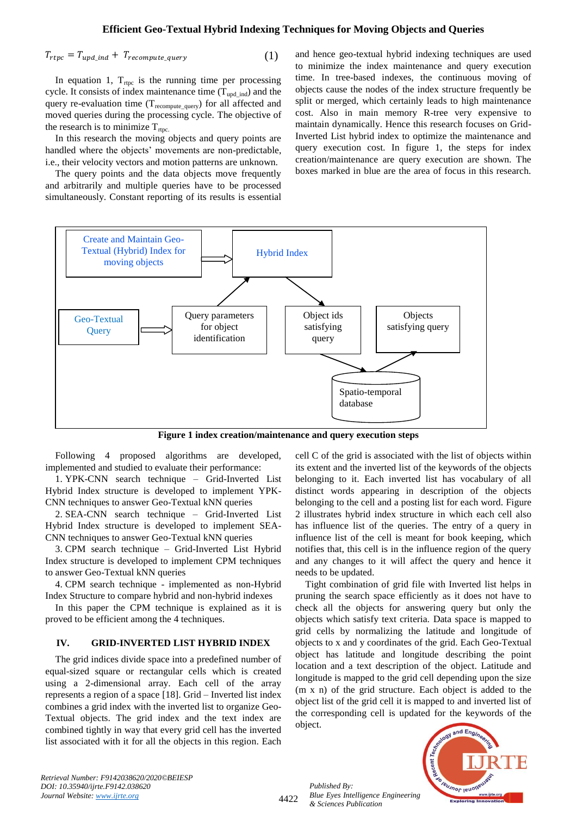$$
T_{rtpc} = T_{upd\_ind} + T_{recompute\_query}
$$
 (1)

In equation 1,  $T_{\text{rtpc}}$  is the running time per processing cycle. It consists of index maintenance time  $(T_{\text{upd ind}})$  and the query re-evaluation time  $(T_{recompute\_query})$  for all affected and moved queries during the processing cycle. The objective of the research is to minimize  $T_{\text{rtpc}}$ .

In this research the moving objects and query points are handled where the objects' movements are non-predictable, i.e., their velocity vectors and motion patterns are unknown.

The query points and the data objects move frequently and arbitrarily and multiple queries have to be processed simultaneously. Constant reporting of its results is essential

and hence geo-textual hybrid indexing techniques are used to minimize the index maintenance and query execution time. In tree-based indexes, the continuous moving of objects cause the nodes of the index structure frequently be split or merged, which certainly leads to high maintenance cost. Also in main memory R-tree very expensive to maintain dynamically. Hence this research focuses on Grid-Inverted List hybrid index to optimize the maintenance and query execution cost. In figure 1, the steps for index creation/maintenance are query execution are shown. The boxes marked in blue are the area of focus in this research.



**Figure 1 index creation/maintenance and query execution steps**

Following 4 proposed algorithms are developed, implemented and studied to evaluate their performance:

1. YPK-CNN search technique – Grid-Inverted List Hybrid Index structure is developed to implement YPK-CNN techniques to answer Geo-Textual kNN queries

2. SEA-CNN search technique – Grid-Inverted List Hybrid Index structure is developed to implement SEA-CNN techniques to answer Geo-Textual kNN queries

3. CPM search technique – Grid-Inverted List Hybrid Index structure is developed to implement CPM techniques to answer Geo-Textual kNN queries

4. CPM search technique - implemented as non-Hybrid Index Structure to compare hybrid and non-hybrid indexes

In this paper the CPM technique is explained as it is proved to be efficient among the 4 techniques.

#### **IV. GRID-INVERTED LIST HYBRID INDEX**

The grid indices divide space into a predefined number of equal-sized square or rectangular cells which is created using a 2-dimensional array. Each cell of the array represents a region of a space [18]. Grid – Inverted list index combines a grid index with the inverted list to organize Geo-Textual objects. The grid index and the text index are combined tightly in way that every grid cell has the inverted list associated with it for all the objects in this region. Each cell C of the grid is associated with the list of objects within its extent and the inverted list of the keywords of the objects belonging to it. Each inverted list has vocabulary of all distinct words appearing in description of the objects belonging to the cell and a posting list for each word. Figure 2 illustrates hybrid index structure in which each cell also has influence list of the queries. The entry of a query in influence list of the cell is meant for book keeping, which notifies that, this cell is in the influence region of the query and any changes to it will affect the query and hence it needs to be updated.

Tight combination of grid file with Inverted list helps in pruning the search space efficiently as it does not have to check all the objects for answering query but only the objects which satisfy text criteria. Data space is mapped to grid cells by normalizing the latitude and longitude of objects to x and y coordinates of the grid. Each Geo-Textual object has latitude and longitude describing the point location and a text description of the object. Latitude and longitude is mapped to the grid cell depending upon the size (m x n) of the grid structure. Each object is added to the object list of the grid cell it is mapped to and inverted list of the corresponding cell is updated for the keywords of the object.



*Retrieval Number: F9142038620/2020©BEIESP DOI: 10.35940/ijrte.F9142.038620 Journal Website: www.ijrte.org*

4422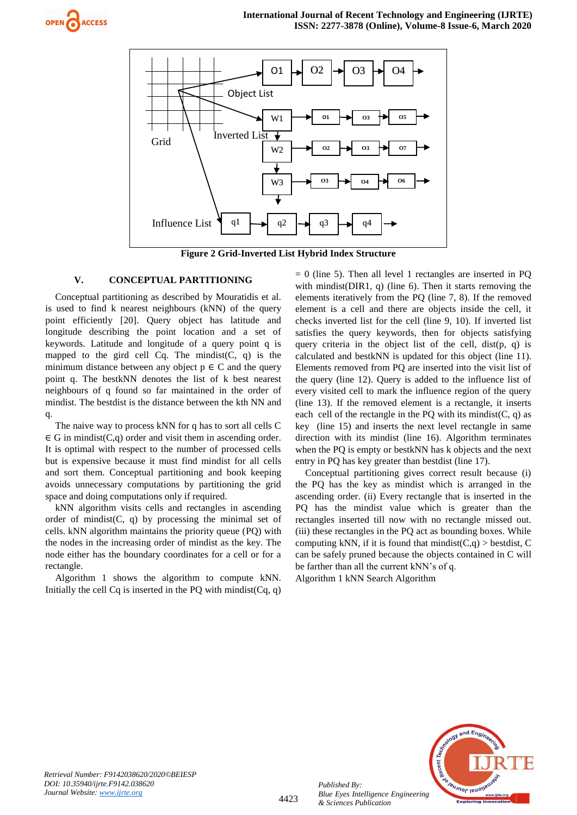



**Figure 2 Grid-Inverted List Hybrid Index Structure**

#### **V. CONCEPTUAL PARTITIONING**

Conceptual partitioning as described by Mouratidis et al. is used to find k nearest neighbours (kNN) of the query point efficiently [20]. Query object has latitude and longitude describing the point location and a set of keywords. Latitude and longitude of a query point q is mapped to the gird cell  $Cq$ . The mindist $(C, q)$  is the minimum distance between any object  $p \in C$  and the query point q. The bestkNN denotes the list of k best nearest neighbours of q found so far maintained in the order of mindist. The bestdist is the distance between the kth NN and q.

The naive way to process kNN for q has to sort all cells C  $\in$  G in mindist(C,q) order and visit them in ascending order. It is optimal with respect to the number of processed cells but is expensive because it must find mindist for all cells and sort them. Conceptual partitioning and book keeping avoids unnecessary computations by partitioning the grid space and doing computations only if required.

kNN algorithm visits cells and rectangles in ascending order of mindist $(C, q)$  by processing the minimal set of cells. kNN algorithm maintains the priority queue (PQ) with the nodes in the increasing order of mindist as the key. The node either has the boundary coordinates for a cell or for a rectangle.

Algorithm 1 shows the algorithm to compute kNN. Initially the cell  $Cq$  is inserted in the PO with mindist( $Cq$ , q)  $= 0$  (line 5). Then all level 1 rectangles are inserted in PO with mindist(DIR1, q) (line 6). Then it starts removing the elements iteratively from the PQ (line 7, 8). If the removed element is a cell and there are objects inside the cell, it checks inverted list for the cell (line 9, 10). If inverted list satisfies the query keywords, then for objects satisfying query criteria in the object list of the cell, dist(p, q) is calculated and bestkNN is updated for this object (line 11). Elements removed from PQ are inserted into the visit list of the query (line 12). Query is added to the influence list of every visited cell to mark the influence region of the query (line 13). If the removed element is a rectangle, it inserts each cell of the rectangle in the PQ with its mindist( $C$ , q) as key (line 15) and inserts the next level rectangle in same direction with its mindist (line 16). Algorithm terminates when the PQ is empty or bestkNN has k objects and the next entry in PQ has key greater than bestdist (line 17).

Conceptual partitioning gives correct result because (i) the PQ has the key as mindist which is arranged in the ascending order. (ii) Every rectangle that is inserted in the PQ has the mindist value which is greater than the rectangles inserted till now with no rectangle missed out. (iii) these rectangles in the PQ act as bounding boxes. While computing kNN, if it is found that mindist $(C,q)$  > bestdist, C can be safely pruned because the objects contained in C will be farther than all the current kNN's of q.

Algorithm 1 kNN Search Algorithm

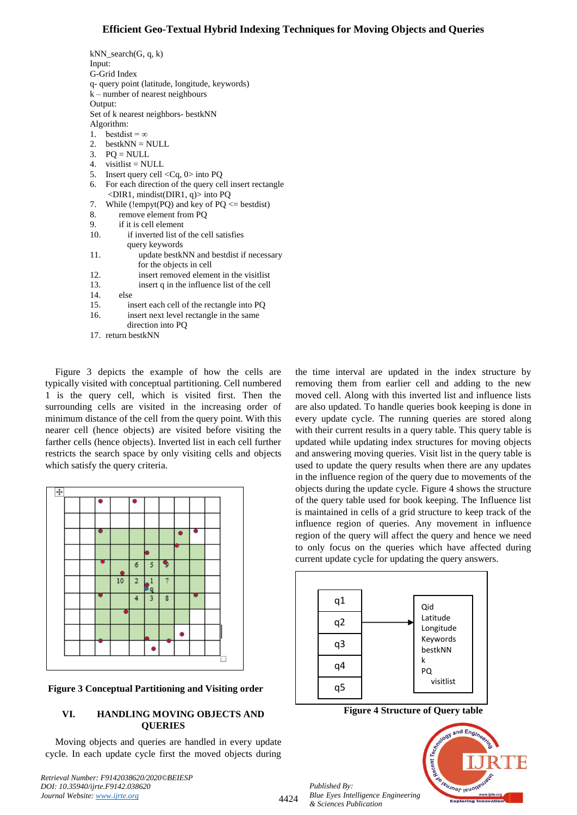| $kNN$ _search $(G, q, k)$                                   |  |  |
|-------------------------------------------------------------|--|--|
| Input:                                                      |  |  |
| G-Grid Index                                                |  |  |
| q- query point (latitude, longitude, keywords)              |  |  |
| $k$ – number of nearest neighbours                          |  |  |
| Output:                                                     |  |  |
| Set of k nearest neighbors- bestkNN                         |  |  |
| Algorithm:                                                  |  |  |
| 1. bestdist = $\infty$                                      |  |  |
| 2. $bestkNN = NULL$                                         |  |  |
| 3. $PQ = NULL$                                              |  |  |
| 4. visitlist = NULL                                         |  |  |
| 5. Insert query cell $\langle Cq, 0 \rangle$ into PQ        |  |  |
| For each direction of the query cell insert rectangle<br>6. |  |  |
| <br>DIR1, mindist(DIR1, q) into PQ                          |  |  |
| While (!empyt(PQ) and key of $PQ \leq bestdist$ )<br>7.     |  |  |
| 8.<br>remove element from PQ                                |  |  |
| 9.<br>if it is cell element                                 |  |  |
| 10.<br>if inverted list of the cell satisfies               |  |  |
| query keywords                                              |  |  |
| 11.<br>update bestkNN and bestdist if necessary             |  |  |
| for the objects in cell                                     |  |  |
| 12.<br>insert removed element in the visitlist              |  |  |
| 13.<br>insert q in the influence list of the cell           |  |  |
| 14.<br>else                                                 |  |  |
| 15.<br>insert each cell of the rectangle into PQ            |  |  |
| 16.<br>insert next level rectangle in the same              |  |  |
| direction into PQ                                           |  |  |
| 17. return bestkNN                                          |  |  |

Figure 3 depicts the example of how the cells are typically visited with conceptual partitioning. Cell numbered 1 is the query cell, which is visited first. Then the surrounding cells are visited in the increasing order of minimum distance of the cell from the query point. With this nearer cell (hence objects) are visited before visiting the farther cells (hence objects). Inverted list in each cell further restricts the search space by only visiting cells and objects which satisfy the query criteria.



**Figure 3 Conceptual Partitioning and Visiting order**

# **VI. HANDLING MOVING OBJECTS AND QUERIES**

Moving objects and queries are handled in every update cycle. In each update cycle first the moved objects during

*Retrieval Number: F9142038620/2020©BEIESP DOI: 10.35940/ijrte.F9142.038620 Journal Website: www.ijrte.org*

the time interval are updated in the index structure by removing them from earlier cell and adding to the new moved cell. Along with this inverted list and influence lists are also updated. To handle queries book keeping is done in every update cycle. The running queries are stored along with their current results in a query table. This query table is updated while updating index structures for moving objects and answering moving queries. Visit list in the query table is used to update the query results when there are any updates in the influence region of the query due to movements of the objects during the update cycle. Figure 4 shows the structure of the query table used for book keeping. The Influence list is maintained in cells of a grid structure to keep track of the influence region of queries. Any movement in influence region of the query will affect the query and hence we need to only focus on the queries which have affected during current update cycle for updating the query answers.



**Figure 4 Structure of Query table**



*Published By: Blue Eyes Intelligence Engineering & Sciences Publication* 

4424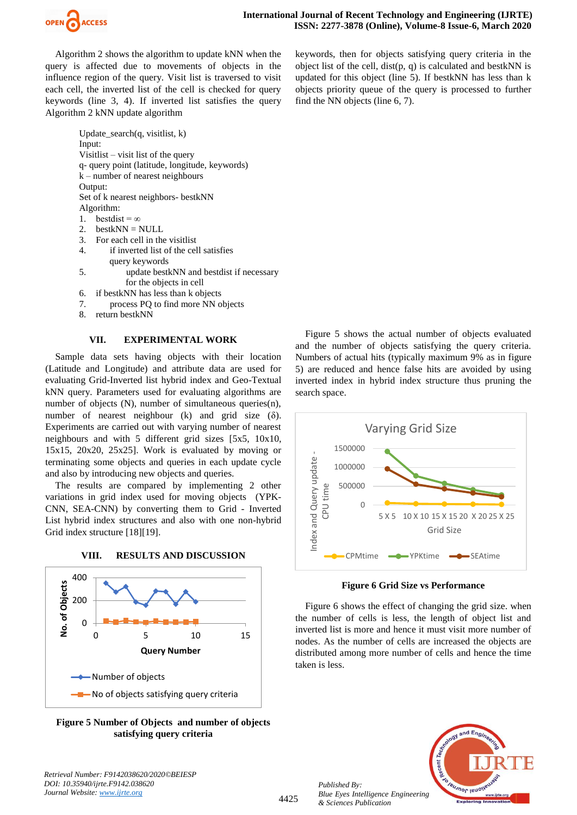

Algorithm 2 shows the algorithm to update kNN when the query is affected due to movements of objects in the influence region of the query. Visit list is traversed to visit each cell, the inverted list of the cell is checked for query keywords (line 3, 4). If inverted list satisfies the query Algorithm 2 kNN update algorithm

> Update search $(q, \text{visitlist}, k)$ Input: Visitlist – visit list of the query q- query point (latitude, longitude, keywords) k – number of nearest neighbours Output: Set of k nearest neighbors- bestkNN Algorithm: 1. bestdist =  $\infty$

- 2.  $bestkNN = NULL$
- 3. For each cell in the visitlist
- 4. if inverted list of the cell satisfies query keywords
- 5. update bestkNN and bestdist if necessary for the objects in cell
- 6. if bestkNN has less than k objects
- 7. process PQ to find more NN objects
- 8. return bestkNN

## **VII. EXPERIMENTAL WORK**

Sample data sets having objects with their location (Latitude and Longitude) and attribute data are used for evaluating Grid-Inverted list hybrid index and Geo-Textual kNN query. Parameters used for evaluating algorithms are number of objects (N), number of simultaneous queries(n), number of nearest neighbour (k) and grid size (δ). Experiments are carried out with varying number of nearest neighbours and with 5 different grid sizes [5x5, 10x10, 15x15, 20x20, 25x25]. Work is evaluated by moving or terminating some objects and queries in each update cycle and also by introducing new objects and queries.

The results are compared by implementing 2 other variations in grid index used for moving objects (YPK-CNN, SEA-CNN) by converting them to Grid - Inverted List hybrid index structures and also with one non-hybrid Grid index structure [18][19].



**VIII. RESULTS AND DISCUSSION**

**Figure 5 Number of Objects and number of objects satisfying query criteria**

keywords, then for objects satisfying query criteria in the object list of the cell,  $dist(p, q)$  is calculated and bestkNN is updated for this object (line 5). If bestkNN has less than k objects priority queue of the query is processed to further find the NN objects (line 6, 7).

Figure 5 shows the actual number of objects evaluated and the number of objects satisfying the query criteria. Numbers of actual hits (typically maximum 9% as in figure 5) are reduced and hence false hits are avoided by using inverted index in hybrid index structure thus pruning the search space.





Figure 6 shows the effect of changing the grid size. when the number of cells is less, the length of object list and inverted list is more and hence it must visit more number of nodes. As the number of cells are increased the objects are distributed among more number of cells and hence the time taken is less.



*Published By:*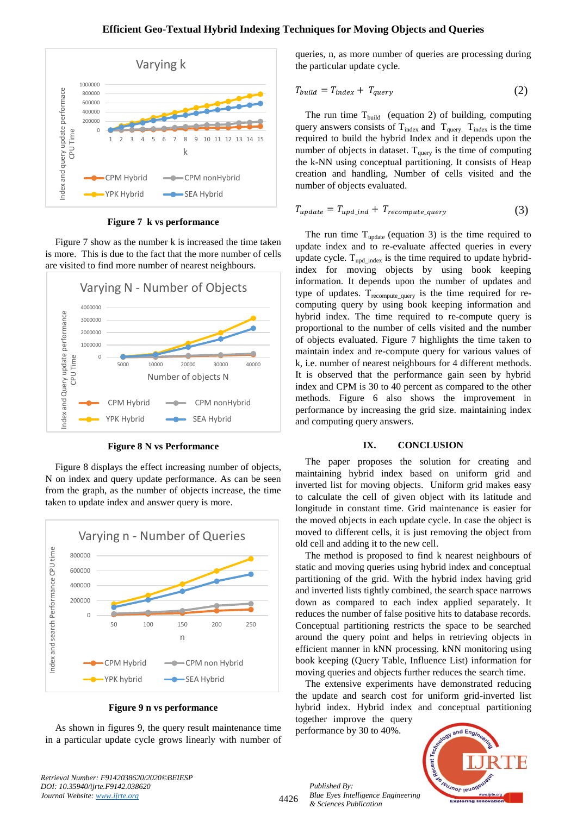

**Figure 7 k vs performance**

Figure 7 show as the number k is increased the time taken is more. This is due to the fact that the more number of cells are visited to find more number of nearest neighbours.



**Figure 8 N vs Performance**

Figure 8 displays the effect increasing number of objects, N on index and query update performance. As can be seen from the graph, as the number of objects increase, the time taken to update index and answer query is more.



**Figure 9 n vs performance**

As shown in figures 9, the query result maintenance time in a particular update cycle grows linearly with number of queries, n, as more number of queries are processing during the particular update cycle.

$$
T_{build} = T_{index} + T_{query}
$$
\n(2)

The run time  $T_{build}$  (equation 2) of building, computing query answers consists of  $T_{index}$  and  $T_{query}$ .  $T_{index}$  is the time required to build the hybrid Index and it depends upon the number of objects in dataset.  $T_{query}$  is the time of computing the k-NN using conceptual partitioning. It consists of Heap creation and handling, Number of cells visited and the number of objects evaluated.

$$
T_{update} = T_{upd\_ind} + T_{recompute\_query}
$$
 (3)

The run time  $T_{update}$  (equation 3) is the time required to update index and to re-evaluate affected queries in every update cycle.  $T_{\text{upd\_index}}$  is the time required to update hybridindex for moving objects by using book keeping information. It depends upon the number of updates and type of updates.  $T_{recompute\ query}$  is the time required for recomputing query by using book keeping information and hybrid index. The time required to re-compute query is proportional to the number of cells visited and the number of objects evaluated. Figure 7 highlights the time taken to maintain index and re-compute query for various values of k, i.e. number of nearest neighbours for 4 different methods. It is observed that the performance gain seen by hybrid index and CPM is 30 to 40 percent as compared to the other methods. Figure 6 also shows the improvement in performance by increasing the grid size. maintaining index and computing query answers.

#### **IX. CONCLUSION**

The paper proposes the solution for creating and maintaining hybrid index based on uniform grid and inverted list for moving objects. Uniform grid makes easy to calculate the cell of given object with its latitude and longitude in constant time. Grid maintenance is easier for the moved objects in each update cycle. In case the object is moved to different cells, it is just removing the object from old cell and adding it to the new cell.

The method is proposed to find k nearest neighbours of static and moving queries using hybrid index and conceptual partitioning of the grid. With the hybrid index having grid and inverted lists tightly combined, the search space narrows down as compared to each index applied separately. It reduces the number of false positive hits to database records. Conceptual partitioning restricts the space to be searched around the query point and helps in retrieving objects in efficient manner in kNN processing. kNN monitoring using book keeping (Query Table, Influence List) information for moving queries and objects further reduces the search time.

The extensive experiments have demonstrated reducing the update and search cost for uniform grid-inverted list hybrid index. Hybrid index and conceptual partitioning

together improve the query performance by 30 to 40%.



*Retrieval Number: F9142038620/2020©BEIESP DOI: 10.35940/ijrte.F9142.038620 Journal Website: www.ijrte.org*

4426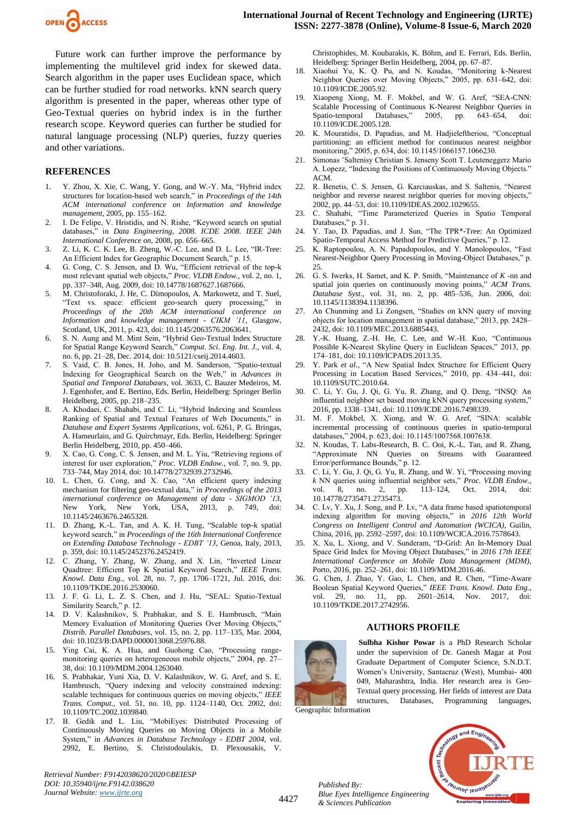

Future work can further improve the performance by implementing the multilevel grid index for skewed data. Search algorithm in the paper uses Euclidean space, which can be further studied for road networks. kNN search query algorithm is presented in the paper, whereas other type of Geo-Textual queries on hybrid index is in the further research scope. Keyword queries can further be studied for natural language processing (NLP) queries, fuzzy queries and other variations.

#### **REFERENCES**

- 1. Y. Zhou, X. Xie, C. Wang, Y. Gong, and W.-Y. Ma, "Hybrid index structures for location-based web search," in *Proceedings of the 14th ACM international conference on Information and knowledge management*, 2005, pp. 155–162.
- 2. I. De Felipe, V. Hristidis, and N. Rishe, "Keyword search on spatial databases," in *Data Engineering, 2008. ICDE 2008. IEEE 24th International Conference on*, 2008, pp. 656–665.
- 3. Z. Li, K. C. K. Lee, B. Zheng, W.-C. Lee, and D. L. Lee, "IR-Tree: An Efficient Index for Geographic Document Search," p. 15.
- 4. G. Cong, C. S. Jensen, and D. Wu, "Efficient retrieval of the top-k most relevant spatial web objects," *Proc. VLDB Endow.*, vol. 2, no. 1, pp. 337–348, Aug. 2009, doi: 10.14778/1687627.1687666.
- 5. M. Christoforaki, J. He, C. Dimopoulos, A. Markowetz, and T. Suel, "Text vs. space: efficient geo-search query processing," in *Proceedings of the 20th ACM international conference on Information and knowledge management - CIKM '11*, Glasgow, Scotland, UK, 2011, p. 423, doi: 10.1145/2063576.2063641.
- 6. S. N. Aung and M. Mint Sein, "Hybrid Geo-Textual Index Structure for Spatial Range Keyword Search," *Comput. Sci. Eng. Int. J.*, vol. 4, no. 6, pp. 21–28, Dec. 2014, doi: 10.5121/cseij.2014.4603.
- 7. S. Vaid, C. B. Jones, H. Joho, and M. Sanderson, "Spatio-textual Indexing for Geographical Search on the Web," in *Advances in Spatial and Temporal Databases*, vol. 3633, C. Bauzer Medeiros, M. J. Egenhofer, and E. Bertino, Eds. Berlin, Heidelberg: Springer Berlin Heidelberg, 2005, pp. 218–235.
- 8. A. Khodaei, C. Shahabi, and C. Li, "Hybrid Indexing and Seamless Ranking of Spatial and Textual Features of Web Documents," in *Database and Expert Systems Applications*, vol. 6261, P. G. Bringas, A. Hameurlain, and G. Quirchmayr, Eds. Berlin, Heidelberg: Springer Berlin Heidelberg, 2010, pp. 450–466.
- X. Cao, G. Cong, C. S. Jensen, and M. L. Yiu, "Retrieving regions of interest for user exploration," *Proc. VLDB Endow.*, vol. 7, no. 9, pp. 733–744, May 2014, doi: 10.14778/2732939.2732946.
- 10. L. Chen, G. Cong, and X. Cao, "An efficient query indexing mechanism for filtering geo-textual data," in *Proceedings of the 2013 international conference on Management of data - SIGMOD '13*, New York, New York, USA, 2013, p. 749, doi: 10.1145/2463676.2465328.
- 11. D. Zhang, K.-L. Tan, and A. K. H. Tung, "Scalable top-k spatial keyword search," in *Proceedings of the 16th International Conference on Extending Database Technology - EDBT '13*, Genoa, Italy, 2013, p. 359, doi: 10.1145/2452376.2452419.
- 12. C. Zhang, Y. Zhang, W. Zhang, and X. Lin, "Inverted Linear Quadtree: Efficient Top K Spatial Keyword Search," *IEEE Trans. Knowl. Data Eng.*, vol. 28, no. 7, pp. 1706–1721, Jul. 2016, doi: 10.1109/TKDE.2016.2530060.
- 13. J. F. G. Li, L. Z. S. Chen, and J. Hu, "SEAL: Spatio-Textual Similarity Search," p. 12.
- 14. D. V. Kalashnikov, S. Prabhakar, and S. E. Hambrusch, "Main Memory Evaluation of Monitoring Queries Over Moving Objects," *Distrib. Parallel Databases*, vol. 15, no. 2, pp. 117–135, Mar. 2004, doi: 10.1023/B:DAPD.0000013068.25976.88.
- 15. Ying Cai, K. A. Hua, and Guohong Cao, "Processing rangemonitoring queries on heterogeneous mobile objects," 2004, pp. 27– 38, doi: 10.1109/MDM.2004.1263040.
- 16. S. Prabhakar, Yuni Xia, D. V. Kalashnikov, W. G. Aref, and S. E. Hambrusch, "Query indexing and velocity constrained indexing: scalable techniques for continuous queries on moving objects," *IEEE Trans. Comput.*, vol. 51, no. 10, pp. 1124–1140, Oct. 2002, doi: 10.1109/TC.2002.1039840.
- 17. B. Gedik and L. Liu, "MobiEyes: Distributed Processing of Continuously Moving Queries on Moving Objects in a Mobile System," in *Advances in Database Technology - EDBT 2004*, vol. 2992, E. Bertino, S. Christodoulakis, D. Plexousakis, V.

*Retrieval Number: F9142038620/2020©BEIESP DOI: 10.35940/ijrte.F9142.038620 Journal Website: www.ijrte.org*

Christophides, M. Koubarakis, K. Böhm, and E. Ferrari, Eds. Berlin, Heidelberg: Springer Berlin Heidelberg, 2004, pp. 67–87.

- 18. Xiaohui Yu, K. Q. Pu, and N. Koudas, "Monitoring k-Nearest Neighbor Queries over Moving Objects," 2005, pp. 631–642, doi: 10.1109/ICDE.2005.92.
- 19. Xiaopeng Xiong, M. F. Mokbel, and W. G. Aref, "SEA-CNN: Scalable Processing of Continuous K-Nearest Neighbor Queries in Spatio-temporal Databases," 2005, pp. 643–654, doi: 10.1109/ICDE.2005.128.
- 20. K. Mouratidis, D. Papadias, and M. Hadjieleftheriou, "Conceptual partitioning: an efficient method for continuous nearest neighbor monitoring," 2005, p. 634, doi: 10.1145/1066157.1066230.
- Simonas `Saltenisy Christian S. Jenseny Scott T. Leuteneggerz Mario A. Lopezz, "Indexing the Positions of Continuously Moving Objects." ACM.
- 22. R. Benetis, C. S. Jensen, G. Karciauskas, and S. Saltenis, "Nearest neighbor and reverse nearest neighbor queries for moving objects," 2002, pp. 44–53, doi: 10.1109/IDEAS.2002.1029655.
- 23. C. Shahabi, "Time Parameterized Queries in Spatio Temporal Databases," p. 31.
- 24. Y. Tao, D. Papadias, and J. Sun, "The TPR\*-Tree: An Optimized Spatio-Temporal Access Method for Predictive Queries," p. 12.
- 25. K. Raptopoulou, A. N. Papadopoulos, and Y. Manolopoulos, "Fast Nearest-Neighbor Query Processing in Moving-Object Databases," p.  $25$
- 26. G. S. Iwerks, H. Samet, and K. P. Smith, "Maintenance of *K* -nn and spatial join queries on continuously moving points," *ACM Trans. Database Syst.*, vol. 31, no. 2, pp. 485–536, Jun. 2006, doi: 10.1145/1138394.1138396.
- An Chunming and Li Zongsen, "Studies on kNN query of moving objects for location management in spatial database," 2013, pp. 2428– 2432, doi: 10.1109/MEC.2013.6885443.
- 28. Y.-K. Huang, Z.-H. He, C. Lee, and W.-H. Kuo, "Continuous Possible K-Nearest Skyline Query in Euclidean Spaces," 2013, pp. 174–181, doi: 10.1109/ICPADS.2013.35.
- 29. Y. Park *et al.*, "A New Spatial Index Structure for Efficient Query Processing in Location Based Services," 2010, pp. 434–441, doi: 10.1109/SUTC.2010.64.
- 30. C. Li, Y. Gu, J. Qi, G. Yu, R. Zhang, and Q. Deng, "INSQ: An influential neighbor set based moving kNN query processing system," 2016, pp. 1338–1341, doi: 10.1109/ICDE.2016.7498339.
- 31. M. F. Mokbel, X. Xiong, and W. G. Aref, "SINA: scalable incremental processing of continuous queries in spatio-temporal databases," 2004, p. 623, doi: 10.1145/1007568.1007638.
- 32. N. Koudas, T. Labs-Research, B. C. Ooi, K.-L. Tan, and R. Zhang, "Approximate NN Queries on Streams with Guaranteed Error/performance Bounds," p. 12.
- 33. C. Li, Y. Gu, J. Qi, G. Yu, R. Zhang, and W. Yi, "Processing moving *k* NN queries using influential neighbor sets," *Proc. VLDB Endow.*, vol. 8, no. 2, pp. 113–124, Oct. 2014, doi: 10.14778/2735471.2735473.
- 34. C. Lv, Y. Xu, J. Song, and P. Lv, "A data frame based spatiotemporal indexing algorithm for moving objects," in *2016 12th World Congress on Intelligent Control and Automation (WCICA)*, Guilin, China, 2016, pp. 2592–2597, doi: 10.1109/WCICA.2016.7578643.
- 35. X. Xu, L. Xiong, and V. Sunderam, "D-Grid: An In-Memory Dual Space Grid Index for Moving Object Databases," in *2016 17th IEEE International Conference on Mobile Data Management (MDM)*, Porto, 2016, pp. 252–261, doi: 10.1109/MDM.2016.46.
- 36. G. Chen, J. Zhao, Y. Gao, L. Chen, and R. Chen, "Time-Aware Boolean Spatial Keyword Queries," *IEEE Trans. Knowl. Data Eng.*, vol. 29, no. 11, pp. 2601–2614, Nov. 2017, doi: 10.1109/TKDE.2017.2742956.

#### **AUTHORS PROFILE**



**Sulbha Kishor Powar** is a PhD Research Scholar under the supervision of Dr. Ganesh Magar at Post Graduate Department of Computer Science, S.N.D.T. Women's University, Santacruz (West), Mumbai- 400 049, Maharashtra, India. Her research area is Geo-Textual query processing. Her fields of interest are Data structures, Databases, Programming languages,

Geographic Information

*Published By:*